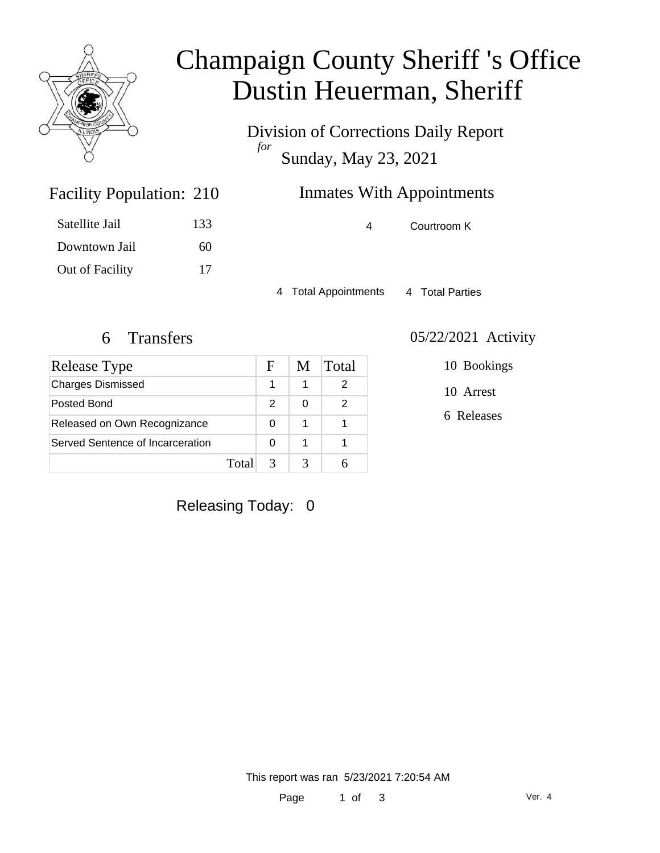

# Champaign County Sheriff 's Office Dustin Heuerman, Sheriff

Division of Corrections Daily Report *for* Sunday, May 23, 2021

## **Inmates With Appointments**

4 Courtroom K

Downtown Jail 60 Out of Facility 17

Facility Population: 210

Satellite Jail 133

4 Total Appointments 4 Total Parties

| Release Type                     |       | F | M | Total |
|----------------------------------|-------|---|---|-------|
| <b>Charges Dismissed</b>         |       |   |   |       |
| Posted Bond                      |       | 2 | O | 2     |
| Released on Own Recognizance     |       | O |   |       |
| Served Sentence of Incarceration |       | O |   |       |
|                                  | Total |   |   |       |

#### 6 Transfers 05/22/2021 Activity

10 Bookings

10 Arrest

6 Releases

Releasing Today: 0

This report was ran 5/23/2021 7:20:54 AM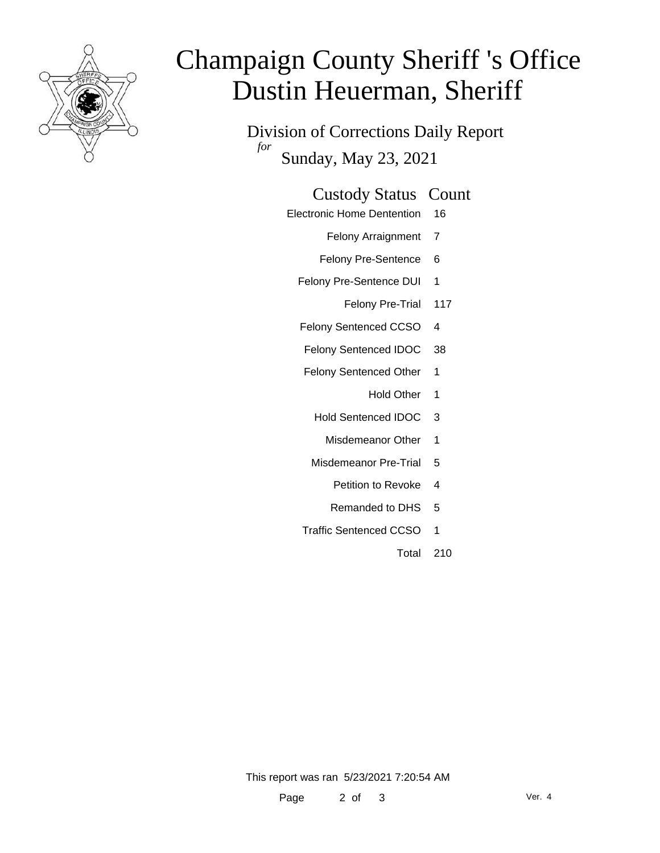

# Champaign County Sheriff 's Office Dustin Heuerman, Sheriff

Division of Corrections Daily Report *for* Sunday, May 23, 2021

#### Custody Status Count

Electronic Home Dentention 16

Felony Arraignment 7

- Felony Pre-Sentence 6
- Felony Pre-Sentence DUI 1
	- Felony Pre-Trial 117
- Felony Sentenced CCSO 4
- Felony Sentenced IDOC 38
- Felony Sentenced Other 1
	- Hold Other 1
	- Hold Sentenced IDOC 3
		- Misdemeanor Other 1
	- Misdemeanor Pre-Trial 5
		- Petition to Revoke 4
		- Remanded to DHS 5
- Traffic Sentenced CCSO 1
	- Total 210

This report was ran 5/23/2021 7:20:54 AM